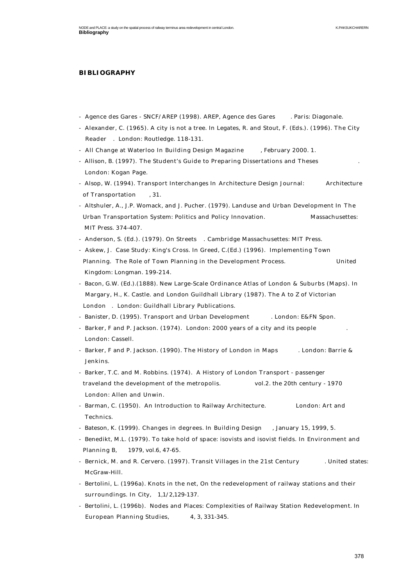## **BIBLIOGRAPHY**

- Agence des Gares SNCF/AREP (1998). AREP, Agence des Gares . Paris: Diagonale.
- Alexander, C. (1965). A city is not a tree. In Legates, R. and Stout, F. (Eds.). (1996). The City Reader . London: Routledge. 118-131.
- All Change at Waterloo In Building Design Magazine , February 2000. 1.
- Allison, B. (1997). The Student's Guide to Preparing Dissertations and Theses . London: Kogan Page.
- Alsop, W. (1994). Transport Interchanges In Architecture Design Journal: Architecture of Transportation , 31.
- Altshuler, A., J.P. Womack, and J. Pucher. (1979). Landuse and Urban Development In The Urban Transportation System: Politics and Policy Innovation. Massachusettes: MIT Press. 374-407.
- Anderson, S. (Ed.). (1979). On Streets . Cambridge Massachusettes: MIT Press.
- Askew, J. Case Study: King's Cross. In Greed, C.(Ed.) (1996). Implementing Town Planning. The Role of Town Planning in the Development Process. United Kingdom: Longman. 199-214.
- Bacon, G.W. (Ed.).(1888). New Large-Scale Ordinance Atlas of London & Suburbs (Maps). In Margary, H., K. Castle. and London Guildhall Library (1987). The A to Z of Victorian London . London: Guildhall Library Publications.
- Banister, D. (1995). Transport and Urban Development . London: E&FN Spon.
- Barker, F and P. Jackson. (1974). London: 2000 years of a city and its people London: Cassell.
- Barker, F and P. Jackson. (1990). The History of London in Maps . London: Barrie & Jenkins.
- Barker, T.C. and M. Robbins. (1974). A History of London Transport passenger traveland the development of the metropolis. vol.2. the 20th century - 1970 London: Allen and Unwin.
- Barman, C. (1950). An Introduction to Railway Architecture. London: Art and Technics.
- Bateson, K. (1999). Changes in degrees. In Building Design , January 15, 1999, 5.
- Benedikt, M.L. (1979). To take hold of space: isovists and isovist fields. In Environment and Planning B, 1979, vol.6, 47-65.
- Bernick, M. and R. Cervero. (1997). Transit Villages in the 21st Century . United states: McGraw-Hill.
- Bertolini, L. (1996a). Knots in the net, On the redevelopment of railway stations and their surroundings. In City, 1,1/2,129-137.
- Bertolini, L. (1996b). Nodes and Places: Complexities of Railway Station Redevelopment. In European Planning Studies, 4, 3, 331-345.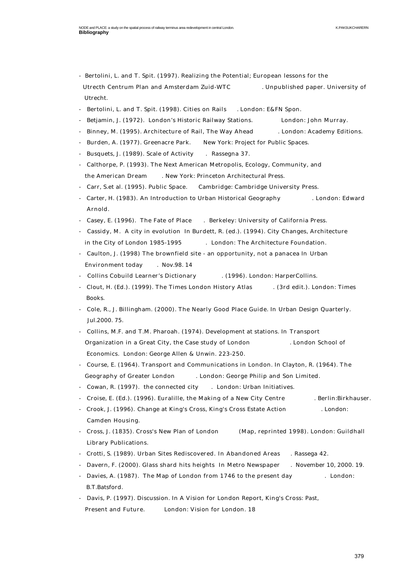- Bertolini, L. and T. Spit. (1997). Realizing the Potential; European lessons for the Utrecth Centrum Plan and Amsterdam Zuid-WTC . Unpublished paper. University of Utrecht.
- Bertolini, L. and T. Spit. (1998). Cities on Rails . London: E&FN Spon.
- Betjamin, J. (1972). London's Historic Railway Stations. London: John Murray.
- Binney, M. (1995). Architecture of Rail, The Way Ahead . London: Academy Editions.
- Burden, A. (1977). Greenacre Park. New York: Project for Public Spaces.
- Busquets, J. (1989). Scale of Activity . Rassegna 37.
- Calthorpe, P. (1993). The Next American Metropolis, Ecology, Community, and the American Dream . New York: Princeton Architectural Press.
- Carr, S.et al. (1995). Public Space. Cambridge: Cambridge University Press.
- Carter, H. (1983). An Introduction to Urban Historical Geography . London: Edward Arnold.
- Casey, E. (1996). The Fate of Place . Berkeley: University of California Press.
- Cassidy, M. A city in evolution In Burdett, R. (ed.). (1994). City Changes, Architecture in the City of London 1985-1995 . London: The Architecture Foundation.
- Caulton, J. (1998) The brownfield site an opportunity, not a panacea In Urban Environment today . Nov.98. 14
- Collins Cobuild Learner's Dictionary . (1996). London: HarperCollins.
- Clout, H. (Ed.). (1999). The Times London History Atlas . (3rd edit.). London: Times Books.
- Cole, R., J. Billingham. (2000). The Nearly Good Place Guide. In Urban Design Quarterly. Jul.2000. 75.
- Collins, M.F. and T.M. Pharoah. (1974). Development at stations. In Transport Organization in a Great City, the Case study of London . London School of Economics. London: George Allen & Unwin. 223-250.
- Course, E. (1964). Transport and Communications in London. In Clayton, R. (1964). The Geography of Greater London . London: George Philip and Son Limited.
- Cowan, R. (1997). the connected city . London: Urban Initiatives.
- Croise, E. (Ed.). (1996). Euralille, the Making of a New City Centre . Berlin:Birkhauser.
- Crook, J. (1996). Change at King's Cross, King's Cross Estate Action . London: Camden Housing.
- Cross, J. (1835). Cross's New Plan of London (Map, reprinted 1998). London: Guildhall Library Publications.
- Crotti, S. (1989). Urban Sites Rediscovered. In Abandoned Areas . Rassega 42.
- Davern, F. (2000). Glass shard hits heights In Metro Newspaper . November 10, 2000. 19.
- Davies, A. (1987). The Map of London from 1746 to the present day . London: B.T.Batsford.
- Davis, P. (1997). Discussion. In A Vision for London Report, King's Cross: Past, Present and Future. London: Vision for London. 18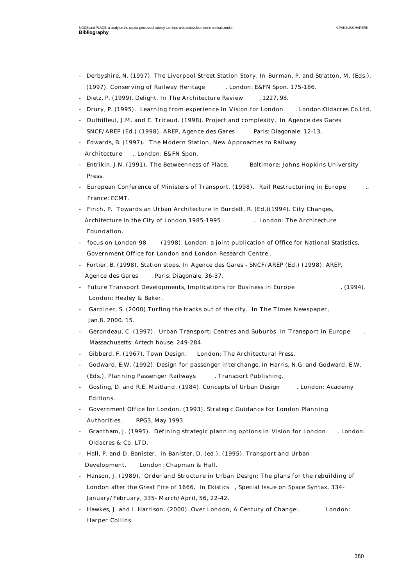- Derbyshire, N. (1997). The Liverpool Street Station Story. In Burman, P. and Stratton, M. (Eds.). (1997). Conserving of Railway Heritage . London: E&FN Spon. 175-186.
- Dietz, P. (1999). Delight. In The Architecture Review , 1227, 98.
- Drury, P. (1995). Learning from experience In Vision for London . London:Oldacres Co.Ltd.
- Duthilleul, J.M. and E. Tricaud. (1998). Project and complexity. In Agence des Gares SNCF/AREP (Ed.) (1998). AREP, Agence des Gares . Paris: Diagonale. 12-13.
- Edwards, B. (1997). The Modern Station, New Approaches to Railway Architecture .. London: E&FN Spon.
- Entrikin, J.N. (1991). The Betweenness of Place. Baltimore: Johns Hopkins University Press.
- European Conference of Ministers of Transport. (1998). Rail Restructuring in Europe France: ECMT.
- Finch, P. Towards an Urban Architecture In Burdett, R. (Ed.)(1994). City Changes, Architecture in the City of London 1985-1995 . London: The Architecture Foundation.
- focus on London 98 (1998). London: a joint publication of Office for National Statistics, Government Office for London and London Research Centre..
- Fortier, B. (1998). Station stops. In Agence des Gares SNCF/AREP (Ed.) (1998). AREP, Agence des Gares . Paris: Diagonale. 36-37.
- Future Transport Developments, Implications for Business in Europe . (1994). London: Healey & Baker.
- Gardiner, S. (2000).Turfing the tracks out of the city. In The Times Newspaper, Jan.8, 2000. 15.
- Gerondeau, C. (1997). Urban Transport: Centres and Suburbs In Transport in Europe . Massachusetts: Artech house. 249-284.
- Gibberd, F. (1967). Town Design. London: The Architectural Press.
- Godward, E.W. (1992). Design for passenger interchange. In Harris, N.G. and Godward, E.W. (Eds.). Planning Passenger Railways . Transport Publishing.
- Gosling, D. and R.E. Maitland. (1984). Concepts of Urban Design . London: Academy Editions.
- Government Office for London. (1993). Strategic Guidance for London Planning Authorities. RPG3, May 1993.
- Grantham, J. (1995). Defining strategic planning options In Vision for London . London: Oldacres & Co. LTD.
- Hall, P. and D. Banister. In Banister, D. (ed.). (1995). Transport and Urban Development. London: Chapman & Hall.
- Hanson, J. (1989). Order and Structure in Urban Design: The plans for the rebuilding of London after the Great Fire of 1666. In Ekistics , Special Issue on Space Syntax, 334- January/February, 335- March/April, 56, 22-42.
- Hawkes, J. and I. Harrison. (2000). Over London, A Century of Change:. London: Harper Collins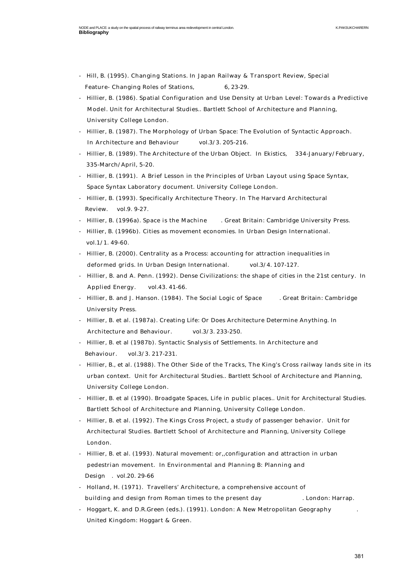- Hill, B. (1995). Changing Stations. In Japan Railway & Transport Review, Special Feature- Changing Roles of Stations, 6, 23-29.
- Hillier, B. (1986). Spatial Configuration and Use Density at Urban Level: Towards a Predictive Model. Unit for Architectural Studies.. Bartlett School of Architecture and Planning, University College London.
- Hillier, B. (1987). The Morphology of Urban Space: The Evolution of Syntactic Approach. In Architecture and Behaviour vol.3/3. 205-216.
- Hillier, B. (1989). The Architecture of the Urban Object. In Ekistics, 334-January/February, 335-March/April, 5-20.
- Hillier, B. (1991). A Brief Lesson in the Principles of Urban Layout using Space Syntax, Space Syntax Laboratory document. University College London.
- Hillier, B. (1993). Specifically Architecture Theory. In The Harvard Architectural Review. vol.9. 9-27.
- Hillier, B. (1996a). Space is the Machine . Great Britain: Cambridge University Press.
- Hillier, B. (1996b). Cities as movement economies. In Urban Design International. vol.1/1. 49-60.
- Hillier, B. (2000). Centrality as a Process: accounting for attraction inequalities in deformed grids. In Urban Design International. vol.3/4. 107-127.
- Hillier, B. and A. Penn. (1992). Dense Civilizations: the shape of cities in the 21st century. In Applied Energy. vol.43. 41-66.
- Hillier, B. and J. Hanson. (1984). The Social Logic of Space . Great Britain: Cambridge University Press.
- Hillier, B. et al. (1987a). Creating Life: Or Does Architecture Determine Anything. In Architecture and Behaviour. vol.3/3. 233-250.
- Hillier, B. et al (1987b). Syntactic Snalysis of Settlements. In Architecture and Behaviour. vol.3/3. 217-231.
- Hillier, B., et al. (1988). The Other Side of the Tracks, The King's Cross railway lands site in its urban context. Unit for Architectural Studies.. Bartlett School of Architecture and Planning, University College London.
- Hillier, B. et al (1990). Broadgate Spaces, Life in public places.. Unit for Architectural Studies. Bartlett School of Architecture and Planning, University College London.
- Hillier, B. et al. (1992). The Kings Cross Project, a study of passenger behavior. Unit for Architectural Studies. Bartlett School of Architecture and Planning, University College London.
- Hillier, B. et al. (1993). Natural movement: or,,configuration and attraction in urban pedestrian movement. In Environmental and Planning B: Planning and Design . vol.20. 29-66
- Holland, H. (1971). Travellers' Architecture, a comprehensive account of building and design from Roman times to the present day . London: Harrap.
- Hoggart, K. and D.R.Green (eds.). (1991). London: A New Metropolitan Geography . United Kingdom: Hoggart & Green.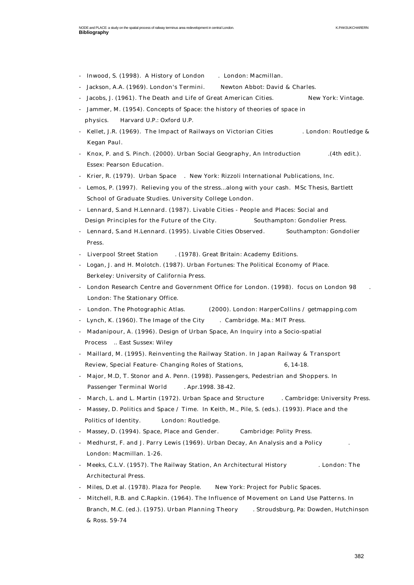- Inwood, S. (1998). A History of London . London: Macmillan.
- Jackson, A.A. (1969). London's Termini. Newton Abbot: David & Charles.
- Jacobs, J. (1961). The Death and Life of Great American Cities. New York: Vintage.
- Jammer, M. (1954). Concepts of Space: the history of theories of space in physics. Harvard U.P.: Oxford U.P.
- Kellet, J.R. (1969). The Impact of Railways on Victorian Cities . London: Routledge & Kegan Paul.
- Knox, P. and S. Pinch. (2000). Urban Social Geography, An Introduction . (4th edit.). Essex: Pearson Education.
- Krier, R. (1979). Urban Space . New York: Rizzoli International Publications, Inc.
- Lemos, P. (1997). Relieving you of the stress...along with your cash. MSc Thesis, Bartlett School of Graduate Studies. University College London.
- Lennard, S.and H.Lennard. (1987). Livable Cities People and Places: Social and Design Principles for the Future of the City. Southampton: Gondolier Press.
- Lennard, S.and H.Lennard. (1995). Livable Cities Observed. Southampton: Gondolier Press.
- Liverpool Street Station . (1978). Great Britain: Academy Editions.
- Logan, J. and H. Molotch. (1987). Urban Fortunes: The Political Economy of Place. Berkeley: University of California Press.
- London Research Centre and Government Office for London. (1998). focus on London 98 London: The Stationary Office.
- London. The Photographic Atlas. (2000). London: HarperCollins / getmapping.com
- Lynch, K. (1960). The Image of the City . Cambridge. Ma.: MIT Press.
- Madanipour, A. (1996). Design of Urban Space, An Inquiry into a Socio-spatial Process .. East Sussex: Wiley
- Maillard, M. (1995). Reinventing the Railway Station. In Japan Railway & Transport Review, Special Feature- Changing Roles of Stations, 6, 14-18.
- Major, M.D, T. Stonor and A. Penn. (1998). Passengers, Pedestrian and Shoppers. In Passenger Terminal World . Apr. 1998. 38-42.
- March, L. and L. Martin (1972). Urban Space and Structure . Cambridge: University Press.
- Massey, D. Politics and Space / Time. In Keith, M., Pile, S. (eds.). (1993). Place and the Politics of Identity. London: Routledge.
- Massey, D. (1994). Space, Place and Gender. Cambridge: Polity Press.
- Medhurst, F. and J. Parry Lewis (1969). Urban Decay, An Analysis and a Policy . London: Macmillan. 1-26.
- Meeks, C.L.V. (1957). The Railway Station, An Architectural History . London: The Architectural Press.
- Miles, D.et al. (1978). Plaza for People. New York: Project for Public Spaces.
- Mitchell, R.B. and C.Rapkin. (1964). The Influence of Movement on Land Use Patterns. In Branch, M.C. (ed.). (1975). Urban Planning Theory . Stroudsburg, Pa: Dowden, Hutchinson & Ross. 59-74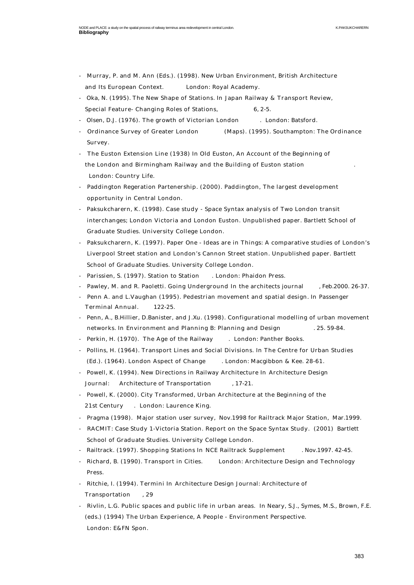- Murray, P. and M. Ann (Eds.). (1998). New Urban Environment, British Architecture and Its European Context. London: Royal Academy.
- Oka, N. (1995). The New Shape of Stations. In Japan Railway & Transport Review, Special Feature- Changing Roles of Stations, 6, 2-5.
- Olsen, D.J. (1976). The growth of Victorian London . London: Batsford.
- Ordinance Survey of Greater London (Maps). (1995). Southampton: The Ordinance Survey.
- The Euston Extension Line (1938) In Old Euston, An Account of the Beginning of the London and Birmingham Railway and the Building of Euston station . London: Country Life.
- Paddington Regeration Partenership. (2000). Paddington, The largest development opportunity in Central London.
- Paksukcharern, K. (1998). Case study Space Syntax analysis of Two London transit interchanges; London Victoria and London Euston. Unpublished paper. Bartlett School of Graduate Studies. University College London.
- Paksukcharern, K. (1997). Paper One Ideas are in Things: A comparative studies of London's Liverpool Street station and London's Cannon Street station. Unpublished paper. Bartlett School of Graduate Studies. University College London.
- Parissien, S. (1997). Station to Station . London: Phaidon Press.
- Pawley, M. and R. Paoletti. Going Underground In the architects journal , Feb.2000. 26-37.
- Penn A. and L.Vaughan (1995). Pedestrian movement and spatial design. In Passenger Terminal Annual. 122-25.
- Penn, A., B.Hillier, D.Banister, and J.Xu. (1998). Configurational modelling of urban movement networks. In Environment and Planning B: Planning and Design . 25. 59-84.
- Perkin, H. (1970). The Age of the Railway . London: Panther Books.
- Pollins, H. (1964). Transport Lines and Social Divisions. In The Centre for Urban Studies (Ed.). (1964). London Aspect of Change . London: Macgibbon & Kee. 28-61.
- Powell, K. (1994). New Directions in Railway Architecture In Architecture Design Journal: Architecture of Transportation , 17-21.
- Powell, K. (2000). City Transformed, Urban Architecture at the Beginning of the 21st Century . London: Laurence King.
- Pragma (1998). Major station user survey, Nov.1998 for Railtrack Major Station, Mar.1999.
- RACMIT: Case Study 1-Victoria Station. Report on the Space Syntax Study. (2001) Bartlett School of Graduate Studies. University College London.
- Railtrack. (1997). Shopping Stations In NCE Railtrack Supplement . Nov.1997. 42-45.
- Richard, B. (1990). Transport in Cities. London: Architecture Design and Technology Press.
- Ritchie, I. (1994). Termini In Architecture Design Journal: Architecture of Transportation , 29
- Rivlin, L.G. Public spaces and public life in urban areas. In Neary, S.J., Symes, M.S., Brown, F.E. (eds.) (1994) The Urban Experience, A People - Environment Perspective. London: E&FN Spon.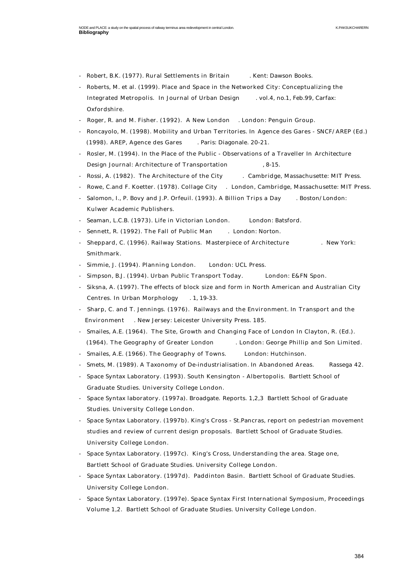- Robert, B.K. (1977). Rural Settlements in Britain . Kent: Dawson Books.
- Roberts, M. et al. (1999). Place and Space in the Networked City: Conceptualizing the Integrated Metropolis. In Journal of Urban Design . vol.4, no.1, Feb.99, Carfax: Oxfordshire.
- Roger, R. and M. Fisher. (1992). A New London . London: Penguin Group.
- Roncayolo, M. (1998). Mobility and Urban Territories. In Agence des Gares SNCF/AREP (Ed.) (1998). AREP, Agence des Gares . Paris: Diagonale. 20-21.
- Rosler, M. (1994). In the Place of the Public Observations of a Traveller In Architecture Design Journal: Architecture of Transportation , 8-15.
- Rossi, A. (1982). The Architecture of the City . Cambridge, Massachusette: MIT Press.
- Rowe, C.and F. Koetter. (1978). Collage City . London, Cambridge, Massachusette: MIT Press.
- Salomon, I., P. Bovy and J.P. Orfeuil. (1993). A Billion Trips a Day . Boston/London: Kulwer Academic Publishers.
- Seaman, L.C.B. (1973). Life in Victorian London. London: Batsford.
- Sennett, R. (1992). The Fall of Public Man . London: Norton.
- Sheppard, C. (1996). Railway Stations. Masterpiece of Architecture . New York: Smithmark.
- Simmie, J. (1994). Planning London. London: UCL Press.
- Simpson, B.J. (1994). Urban Public Transport Today. London: E&FN Spon.
- Siksna, A. (1997). The effects of block size and form in North American and Australian City Centres. In Urban Morphology . 1, 19-33.
- Sharp, C. and T. Jennings. (1976). Railways and the Environment. In Transport and the Environment . New Jersey: Leicester University Press. 185.
- Smailes, A.E. (1964). The Site, Growth and Changing Face of London In Clayton, R. (Ed.). (1964). The Geography of Greater London . London: George Phillip and Son Limited.
- Smailes, A.E. (1966). The Geography of Towns. London: Hutchinson.
- Smets, M. (1989). A Taxonomy of De-industrialisation. In Abandoned Areas. Rassega 42.
- Space Syntax Laboratory. (1993). South Kensington Albertopolis. Bartlett School of Graduate Studies. University College London.
- Space Syntax laboratory. (1997a). Broadgate. Reports. 1,2,3 Bartlett School of Graduate Studies. University College London.
- Space Syntax Laboratory. (1997b). King's Cross St.Pancras, report on pedestrian movement studies and review of current design proposals. Bartlett School of Graduate Studies. University College London.
- Space Syntax Laboratory. (1997c). King's Cross, Understanding the area. Stage one, Bartlett School of Graduate Studies. University College London.
- Space Syntax Laboratory. (1997d). Paddinton Basin. Bartlett School of Graduate Studies. University College London.
- Space Syntax Laboratory. (1997e). Space Syntax First International Symposium, Proceedings Volume 1,2. Bartlett School of Graduate Studies. University College London.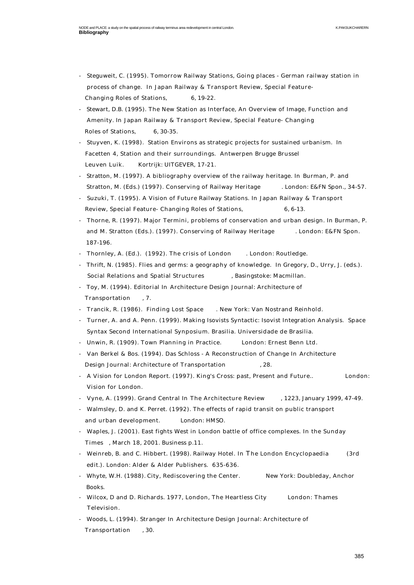- Steguweit, C. (1995). Tomorrow Railway Stations, Going places German railway station in process of change. In Japan Railway & Transport Review, Special Feature- Changing Roles of Stations, 6, 19-22.
- Stewart, D.B. (1995). The New Station as Interface, An Overview of Image, Function and Amenity. In Japan Railway & Transport Review, Special Feature- Changing Roles of Stations, 6, 30-35.
- Stuyven, K. (1998). Station Environs as strategic projects for sustained urbanism. In Facetten 4, Station and their surroundings. Antwerpen Brugge Brussel Leuven Luik. Kortrijk: UITGEVER, 17-21.
- Stratton, M. (1997). A bibliography overview of the railway heritage. In Burman, P. and Stratton, M. (Eds.) (1997). Conserving of Railway Heritage . London: E&FN Spon., 34-57.
- Suzuki, T. (1995). A Vision of Future Railway Stations. In Japan Railway & Transport Review, Special Feature- Changing Roles of Stations, 6, 6-13.
- Thorne, R. (1997). Major Termini, problems of conservation and urban design. In Burman, P. and M. Stratton (Eds.). (1997). Conserving of Railway Heritage . London: E&FN Spon. 187-196.
- Thornley, A. (Ed.). (1992). The crisis of London . London: Routledge.
- Thrift, N. (1985). Flies and germs: a geography of knowledge. In Gregory, D., Urry, J. (eds.). Social Relations and Spatial Structures , Basingstoke: Macmillan.
- Toy, M. (1994). Editorial In Architecture Design Journal: Architecture of Transportation , 7.
- Trancik, R. (1986). Finding Lost Space . New York: Van Nostrand Reinhold.
- Turner, A. and A. Penn. (1999). Making Isovists Syntactic: Isovist Integration Analysis. Space Syntax Second International Synposium. Brasilia. Universidade de Brasilia.
- Unwin, R. (1909). Town Planning in Practice. London: Ernest Benn Ltd.
- Van Berkel & Bos. (1994). Das Schloss A Reconstruction of Change In Architecture Design Journal: Architecture of Transportation , 28.
- A Vision for London Report. (1997). King's Cross: past, Present and Future.. London: Vision for London.
- Vyne, A. (1999). Grand Central In The Architecture Review , 1223, January 1999, 47-49.
- Walmsley, D. and K. Perret. (1992). The effects of rapid transit on public transport and urban development. London: HMSO.
- Waples, J. (2001). East fights West in London battle of office complexes. In the Sunday Times , March 18, 2001. Business p.11.
- Weinreb, B. and C. Hibbert. (1998). Railway Hotel. In The London Encyclopaedia (3rd edit.). London: Alder & Alder Publishers. 635-636.
- Whyte, W.H. (1988). City, Rediscovering the Center. New York: Doubleday, Anchor Books.
- Wilcox, D and D. Richards. 1977, London, The Heartless City London: Thames Television.
- Woods, L. (1994). Stranger In Architecture Design Journal: Architecture of Transportation , 30.